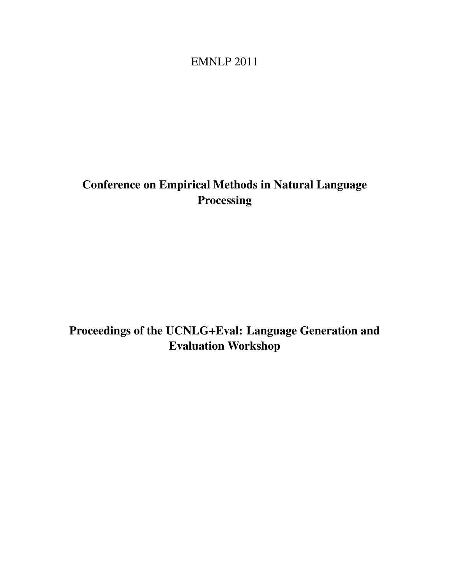## EMNLP 2011

# <span id="page-0-0"></span>Conference on Empirical Methods in Natural Language Processing

# Proceedings of the UCNLG+Eval: Language Generation and Evaluation Workshop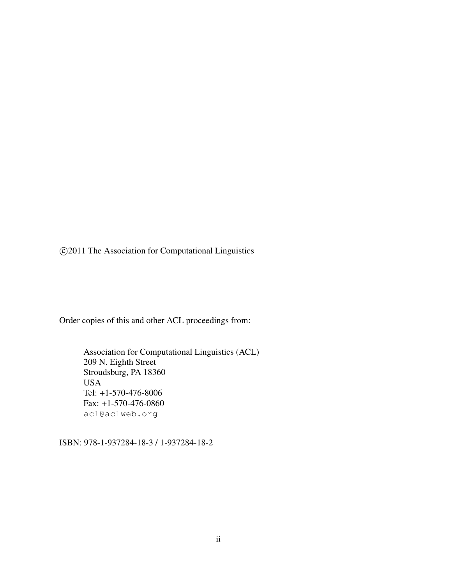c 2011 The Association for Computational Linguistics

Order copies of this and other ACL proceedings from:

Association for Computational Linguistics (ACL) 209 N. Eighth Street Stroudsburg, PA 18360 USA Tel: +1-570-476-8006 Fax: +1-570-476-0860 acl@aclweb.org

ISBN: 978-1-937284-18-3 / 1-937284-18-2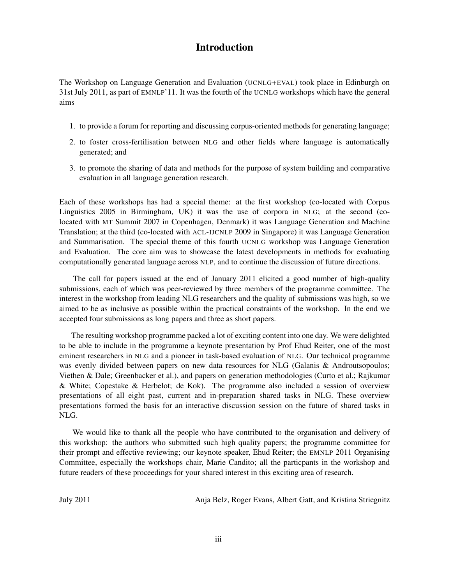### Introduction

The Workshop on Language Generation and Evaluation (UCNLG+EVAL) took place in Edinburgh on 31st July 2011, as part of EMNLP'11. It was the fourth of the UCNLG workshops which have the general aims

- 1. to provide a forum for reporting and discussing corpus-oriented methods for generating language;
- 2. to foster cross-fertilisation between NLG and other fields where language is automatically generated; and
- 3. to promote the sharing of data and methods for the purpose of system building and comparative evaluation in all language generation research.

Each of these workshops has had a special theme: at the first workshop (co-located with Corpus Linguistics 2005 in Birmingham, UK) it was the use of corpora in NLG; at the second (colocated with MT Summit 2007 in Copenhagen, Denmark) it was Language Generation and Machine Translation; at the third (co-located with ACL-IJCNLP 2009 in Singapore) it was Language Generation and Summarisation. The special theme of this fourth UCNLG workshop was Language Generation and Evaluation. The core aim was to showcase the latest developments in methods for evaluating computationally generated language across NLP, and to continue the discussion of future directions.

The call for papers issued at the end of January 2011 elicited a good number of high-quality submissions, each of which was peer-reviewed by three members of the programme committee. The interest in the workshop from leading NLG researchers and the quality of submissions was high, so we aimed to be as inclusive as possible within the practical constraints of the workshop. In the end we accepted four submissions as long papers and three as short papers.

The resulting workshop programme packed a lot of exciting content into one day. We were delighted to be able to include in the programme a keynote presentation by Prof Ehud Reiter, one of the most eminent researchers in NLG and a pioneer in task-based evaluation of NLG. Our technical programme was evenly divided between papers on new data resources for NLG (Galanis & Androutsopoulos; Viethen & Dale; Greenbacker et al.), and papers on generation methodologies (Curto et al.; Rajkumar & White; Copestake & Herbelot; de Kok). The programme also included a session of overview presentations of all eight past, current and in-preparation shared tasks in NLG. These overview presentations formed the basis for an interactive discussion session on the future of shared tasks in NLG.

We would like to thank all the people who have contributed to the organisation and delivery of this workshop: the authors who submitted such high quality papers; the programme committee for their prompt and effective reviewing; our keynote speaker, Ehud Reiter; the EMNLP 2011 Organising Committee, especially the workshops chair, Marie Candito; all the particpants in the workshop and future readers of these proceedings for your shared interest in this exciting area of research.

July 2011 Anja Belz, Roger Evans, Albert Gatt, and Kristina Striegnitz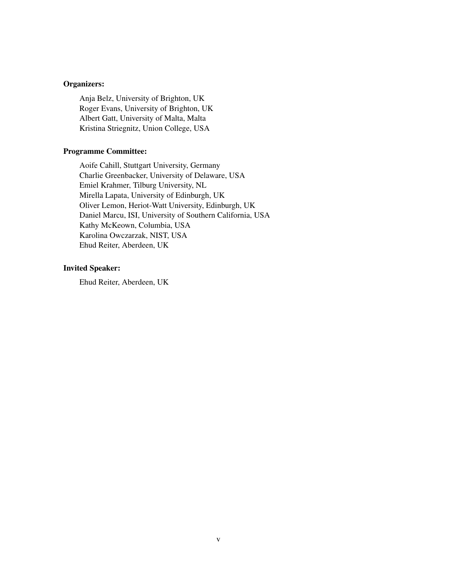#### Organizers:

Anja Belz, University of Brighton, UK Roger Evans, University of Brighton, UK Albert Gatt, University of Malta, Malta Kristina Striegnitz, Union College, USA

#### Programme Committee:

Aoife Cahill, Stuttgart University, Germany Charlie Greenbacker, University of Delaware, USA Emiel Krahmer, Tilburg University, NL Mirella Lapata, University of Edinburgh, UK Oliver Lemon, Heriot-Watt University, Edinburgh, UK Daniel Marcu, ISI, University of Southern California, USA Kathy McKeown, Columbia, USA Karolina Owczarzak, NIST, USA Ehud Reiter, Aberdeen, UK

#### Invited Speaker:

Ehud Reiter, Aberdeen, UK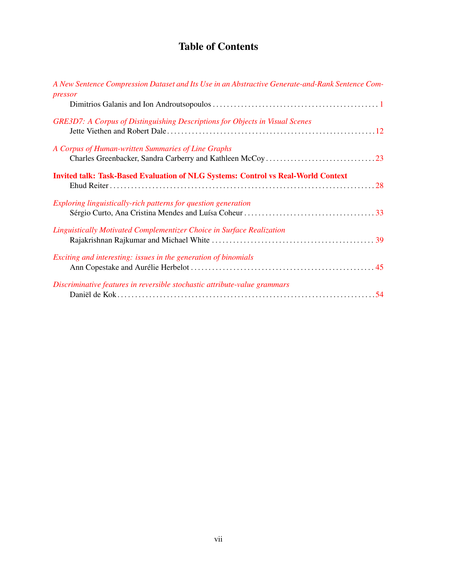### Table of Contents

| A New Sentence Compression Dataset and Its Use in an Abstractive Generate-and-Rank Sentence Com-<br>pressor |
|-------------------------------------------------------------------------------------------------------------|
|                                                                                                             |
| GRE3D7: A Corpus of Distinguishing Descriptions for Objects in Visual Scenes                                |
| A Corpus of Human-written Summaries of Line Graphs                                                          |
| <b>Invited talk: Task-Based Evaluation of NLG Systems: Control vs Real-World Context</b>                    |
| Exploring linguistically-rich patterns for question generation                                              |
| Linguistically Motivated Complementizer Choice in Surface Realization                                       |
| Exciting and interesting: issues in the generation of binomials                                             |
| Discriminative features in reversible stochastic attribute-value grammars                                   |